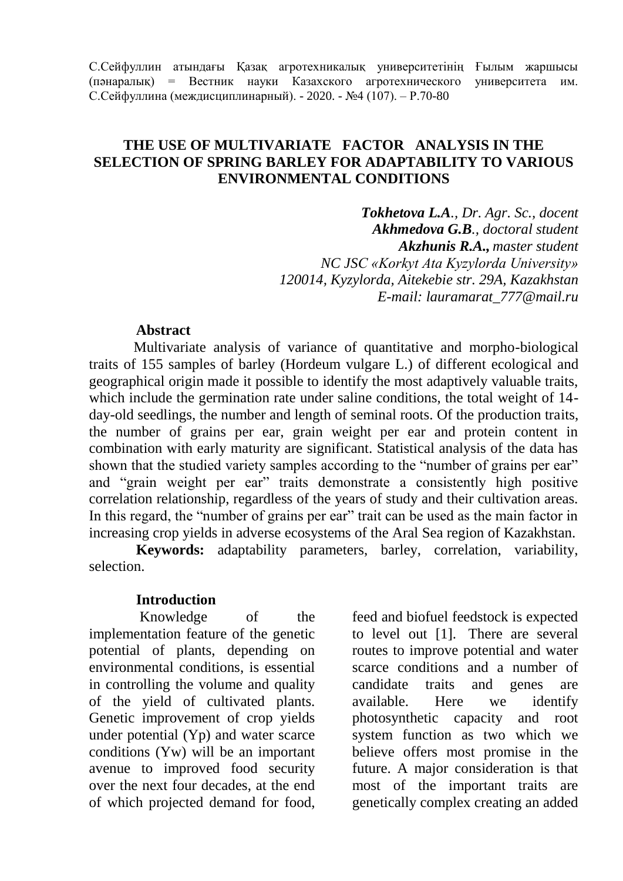С.Сейфуллин атындағы Қазақ агротехникалық университетінің Ғылым жаршысы (пәнаралық) = Вестник науки Казахского агротехнического университета им. С.Сейфуллина (междисциплинарный). - 2020. - №4 (107). – Р.70-80

# **THE USE OF MULTIVARIATE FACTOR ANALYSIS IN THE SELECTION OF SPRING BARLEY FOR ADAPTABILITY TO VARIOUS ENVIRONMENTAL CONDITIONS**

*Tokhetova L.A., Dr. Agr. Sc., docent Akhmedova G.B., doctoral student Akzhunis R.A., master student NC JSС «Korkyt Ata Kyzylorda University» 120014, Kyzylorda, Aitekebie str. 29A, Kazakhstan E-mail: [lauramarat\\_777@mail.ru](mailto:lauramarat_777@mail.ru)*

### **Abstract**

Multivariate analysis of variance of quantitative and morpho-biological traits of 155 samples of barley (Hordeum vulgare L.) of different ecological and geographical origin made it possible to identify the most adaptively valuable traits, which include the germination rate under saline conditions, the total weight of 14 day-old seedlings, the number and length of seminal roots. Of the production traits, the number of grains per ear, grain weight per ear and protein content in combination with early maturity are significant. Statistical analysis of the data has shown that the studied variety samples according to the "number of grains per ear" and "grain weight per ear" traits demonstrate a consistently high positive correlation relationship, regardless of the years of study and their cultivation areas. In this regard, the "number of grains per ear" trait can be used as the main factor in increasing crop yields in adverse ecosystems of the Aral Sea region of Kazakhstan.

**Keywords:** adaptability parameters, barley, correlation, variability, selection.

### **Introduction**

Knowledge of the implementation feature of the genetic potential of plants, depending on environmental conditions, is essential in controlling the volume and quality of the yield of cultivated plants. Genetic improvement of crop yields under potential (Yp) and water scarce conditions (Yw) will be an important avenue to improved food security over the next four decades, at the end of which projected demand for food,

feed and biofuel feedstock is expected to level out [1]. There are several routes to improve potential and water scarce conditions and a number of candidate traits and genes are available. Here we identify photosynthetic capacity and root system function as two which we believe offers most promise in the future. A major consideration is that most of the important traits are genetically complex creating an added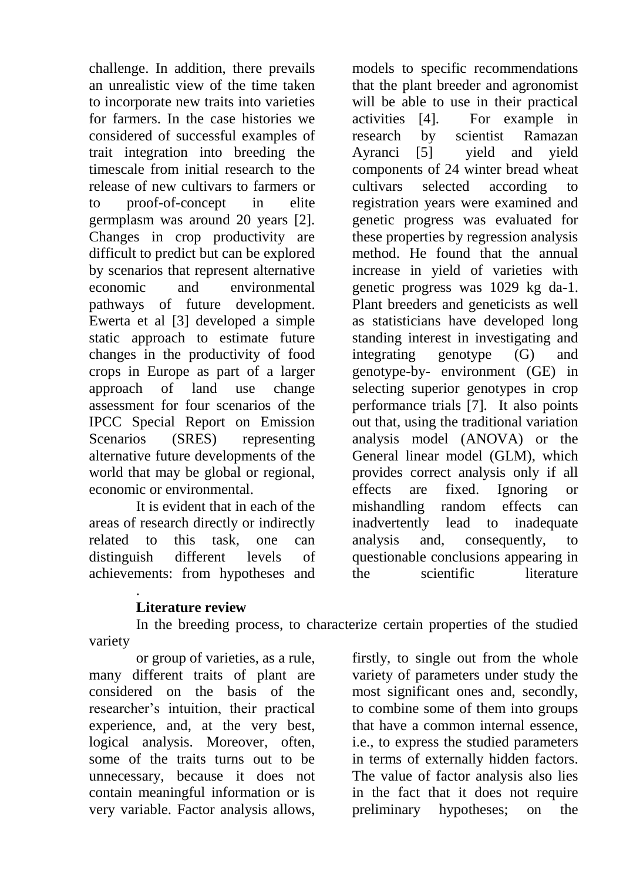challenge. In addition, there prevails an unrealistic view of the time taken to incorporate new traits into varieties for farmers. In the case histories we considered of successful examples of trait integration into breeding the timescale from initial research to the release of new cultivars to farmers or to proof-of-concept in elite germplasm was around 20 years [2]. Changes in crop productivity are difficult to predict but can be explored by scenarios that represent alternative economic and environmental pathways of future development. Ewerta et al [3] developed a simple static approach to estimate future changes in the productivity of food crops in Europe as part of a larger approach of land use change assessment for four scenarios of the IPCC Special Report on Emission Scenarios (SRES) representing alternative future developments of the world that may be global or regional, economic or environmental.

It is evident that in each of the areas of research directly or indirectly related to this task, one can distinguish different levels of achievements: from hypotheses and

models to specific recommendations that the plant breeder and agronomist will be able to use in their practical activities [4]. For example in research by scientist Ramazan Ayranci [5] yield and yield components of 24 winter bread wheat cultivars selected according to registration years were examined and genetic progress was evaluated for these properties by regression analysis method. He found that the annual increase in yield of varieties with genetic progress was 1029 kg da-1. Plant breeders and geneticists as well as statisticians have developed long standing interest in investigating and integrating genotype (G) and genotype-by- environment (GE) in selecting superior genotypes in crop performance trials [7]. It also points out that, using the traditional variation analysis model (ANOVA) or the General linear model (GLM), which provides correct analysis only if all effects are fixed. Ignoring or mishandling random effects can inadvertently lead to inadequate analysis and, consequently, to questionable conclusions appearing in the scientific literature

## . **Literature review**

In the breeding process, to characterize certain properties of the studied variety

or group of varieties, as a rule, many different traits of plant are considered on the basis of the researcher's intuition, their practical experience, and, at the very best, logical analysis. Moreover, often, some of the traits turns out to be unnecessary, because it does not contain meaningful information or is very variable. Factor analysis allows,

firstly, to single out from the whole variety of parameters under study the most significant ones and, secondly, to combine some of them into groups that have a common internal essence, i.e., to express the studied parameters in terms of externally hidden factors. The value of factor analysis also lies in the fact that it does not require preliminary hypotheses; on the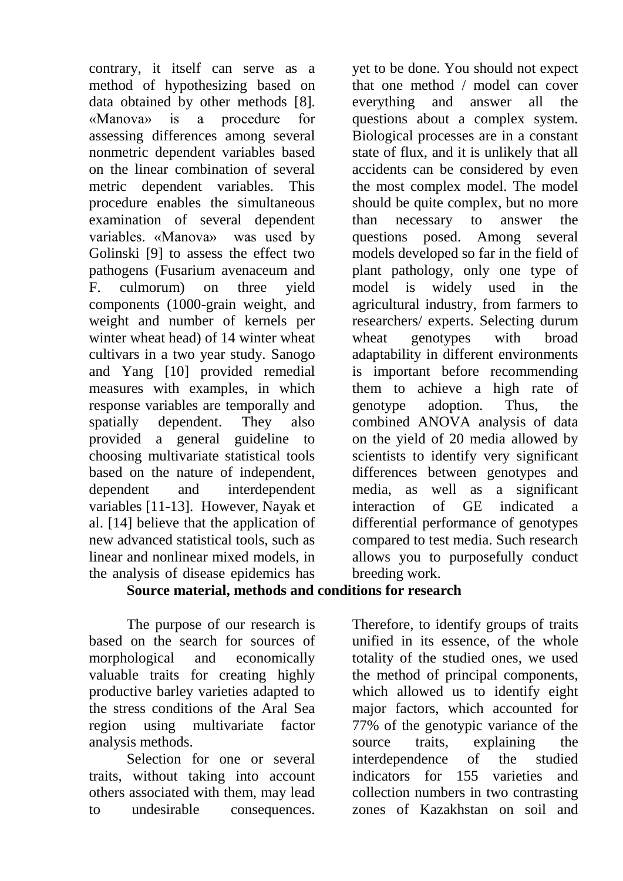contrary, it itself can serve as a method of hypothesizing based on data obtained by other methods [8]. «Manova» is a procedure for assessing differences among several nonmetric dependent variables based on the linear combination of several metric dependent variables. This procedure enables the simultaneous examination of several dependent variables. «Manova» was used by Golinski [9] to assess the effect two pathogens (Fusarium avenaceum and F. culmorum) on three yield components (1000-grain weight, and weight and number of kernels per winter wheat head) of 14 winter wheat cultivars in a two year study. Sanogo and Yang [10] provided remedial measures with examples, in which response variables are temporally and spatially dependent. They also provided a general guideline to choosing multivariate statistical tools based on the nature of independent, dependent and interdependent variables [11-13]. However, Nayak et al. [14] believe that the application of new advanced statistical tools, such as linear and nonlinear mixed models, in the analysis of disease epidemics has

yet to be done. You should not expect that one method / model can cover everything and answer all the questions about a complex system. Biological processes are in a constant state of flux, and it is unlikely that all accidents can be considered by even the most complex model. The model should be quite complex, but no more than necessary to answer the questions posed. Among several models developed so far in the field of plant pathology, only one type of model is widely used in the agricultural industry, from farmers to researchers/ experts. Selecting durum wheat genotypes with broad adaptability in different environments is important before recommending them to achieve a high rate of genotype adoption. Thus, the combined ANOVA analysis of data on the yield of 20 media allowed by scientists to identify very significant differences between genotypes and media, as well as a significant interaction of GE indicated a differential performance of genotypes compared to test media. Such research allows you to purposefully conduct breeding work.

# **Source material, methods and conditions for research**

The purpose of our research is based on the search for sources of morphological and economically valuable traits for creating highly productive barley varieties adapted to the stress conditions of the Aral Sea region using multivariate factor analysis methods.

Selection for one or several traits, without taking into account others associated with them, may lead to undesirable consequences.

Therefore, to identify groups of traits unified in its essence, of the whole totality of the studied ones, we used the method of principal components, which allowed us to identify eight major factors, which accounted for 77% of the genotypic variance of the source traits, explaining the interdependence of the studied indicators for 155 varieties and collection numbers in two contrasting zones of Kazakhstan on soil and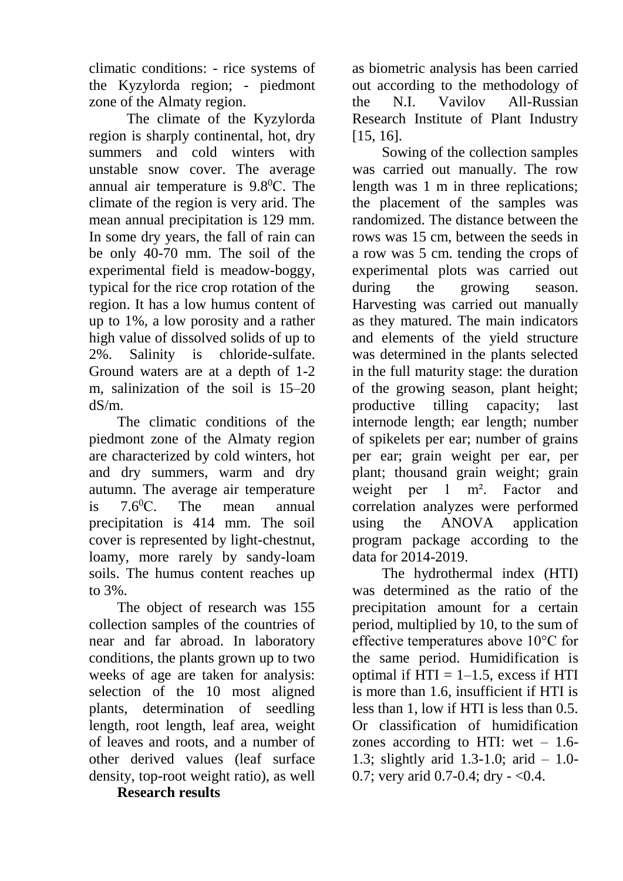climatic conditions: - rice systems of the Kyzylorda region; - piedmont zone of the Almaty region.

The climate of the Kyzylorda region is sharply continental, hot, dry summers and cold winters with unstable snow cover. The average annual air temperature is 9.8<sup>0</sup>С. The climate of the region is very arid. The mean annual precipitation is 129 mm. In some dry years, the fall of rain can be only 40-70 mm. The soil of the experimental field is meadow-boggy, typical for the rice crop rotation of the region. It has a low humus content of up to 1%, a low porosity and a rather high value of dissolved solids of up to 2%. Salinity is chloride-sulfate. Ground waters are at a depth of 1-2 m, salinization of the soil is 15–20 dS/m.

The climatic conditions of the piedmont zone of the Almaty region are characterized by cold winters, hot and dry summers, warm and dry autumn. The average air temperature is  $7.6$ <sup>o</sup>C. The mean annual precipitation is 414 mm. The soil cover is represented by light-chestnut, loamy, more rarely by sandy-loam soils. The humus content reaches up to 3%.

The object of research was 155 collection samples of the countries of near and far abroad. In laboratory conditions, the plants grown up to two weeks of age are taken for analysis: selection of the 10 most aligned plants, determination of seedling length, root length, leaf area, weight of leaves and roots, and a number of other derived values (leaf surface density, top-root weight ratio), as well

**Research results**

as biometric analysis has been carried out according to the methodology of the N.I. Vavilov All-Russian Research Institute of Plant Industry [15, 16].

Sowing of the collection samples was carried out manually. The row length was 1 m in three replications; the placement of the samples was randomized. The distance between the rows was 15 cm, between the seeds in a row was 5 cm. tending the crops of experimental plots was carried out during the growing season. Harvesting was carried out manually as they matured. The main indicators and elements of the yield structure was determined in the plants selected in the full maturity stage: the duration of the growing season, plant height; productive tilling capacity; last internode length; ear length; number of spikelets per ear; number of grains per ear; grain weight per ear, per plant; thousand grain weight; grain weight per 1 m². Factor and correlation analyzes were performed using the ANOVA application program package according to the data for 2014-2019.

The hydrothermal index (HTI) was determined as the ratio of the precipitation amount for a certain period, multiplied by 10, to the sum of effective temperatures above 10°C for the same period. Humidification is optimal if  $HTI = 1-1.5$ , excess if HTI is more than 1.6, insufficient if HTI is less than 1, low if HTI is less than 0.5. Or classification of humidification zones according to HTI: wet  $-1.6$ -1.3; slightly arid 1.3-1.0; arid – 1.0- 0.7; very arid 0.7-0.4; dry  $-$  <0.4.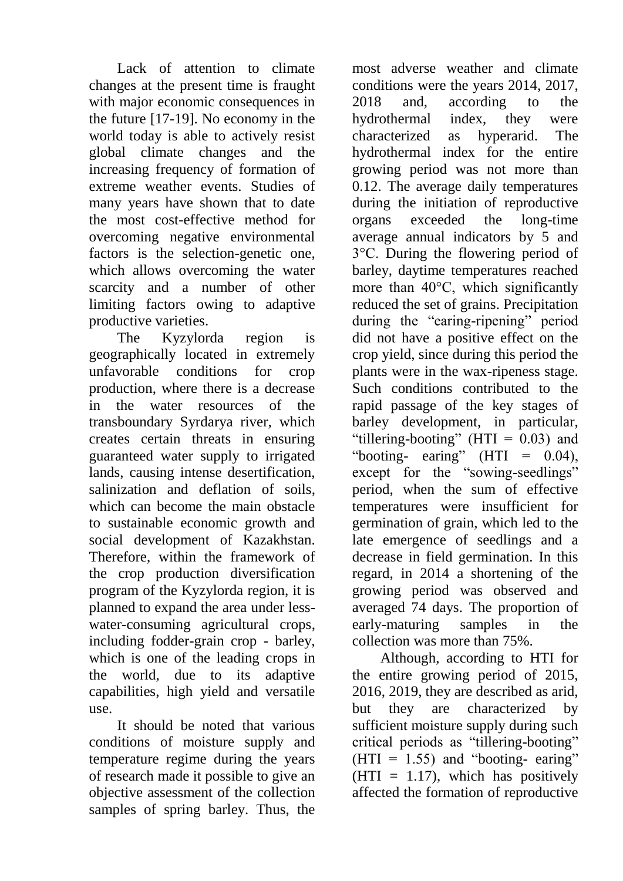Lack of attention to climate changes at the present time is fraught with major economic consequences in the future [17-19]. No economy in the world today is able to actively resist global climate changes and the increasing frequency of formation of extreme weather events. Studies of many years have shown that to date the most cost-effective method for overcoming negative environmental factors is the selection-genetic one, which allows overcoming the water scarcity and a number of other limiting factors owing to adaptive productive varieties.

The Kyzylorda region is geographically located in extremely unfavorable conditions for crop production, where there is a decrease in the water resources of the transboundary Syrdarya river, which creates certain threats in ensuring guaranteed water supply to irrigated lands, causing intense desertification, salinization and deflation of soils, which can become the main obstacle to sustainable economic growth and social development of Kazakhstan. Therefore, within the framework of the crop production diversification program of the Kyzylorda region, it is planned to expand the area under lesswater-consuming agricultural crops, including fodder-grain crop - barley, which is one of the leading crops in the world, due to its adaptive capabilities, high yield and versatile use.

It should be noted that various conditions of moisture supply and temperature regime during the years of research made it possible to give an objective assessment of the collection samples of spring barley. Thus, the

most adverse weather and climate conditions were the years 2014, 2017, 2018 and, according to the hydrothermal index, they were characterized as hyperarid. The hydrothermal index for the entire growing period was not more than 0.12. The average daily temperatures during the initiation of reproductive organs exceeded the long-time average annual indicators by 5 and 3°C. During the flowering period of barley, daytime temperatures reached more than 40°C, which significantly reduced the set of grains. Precipitation during the "earing-ripening" period did not have a positive effect on the crop yield, since during this period the plants were in the wax-ripeness stage. Such conditions contributed to the rapid passage of the key stages of barley development, in particular, "tillering-booting" ( $HTI = 0.03$ ) and "booting- earing" (HTI =  $0.04$ ), except for the "sowing-seedlings" period, when the sum of effective temperatures were insufficient for germination of grain, which led to the late emergence of seedlings and a decrease in field germination. In this regard, in 2014 a shortening of the growing period was observed and averaged 74 days. The proportion of early-maturing samples in the collection was more than 75%.

Although, according to HTI for the entire growing period of 2015, 2016, 2019, they are described as arid, but they are characterized by sufficient moisture supply during such critical periods as "tillering-booting"  $(HTI = 1.55)$  and "booting- earing"  $(HTI = 1.17)$ , which has positively affected the formation of reproductive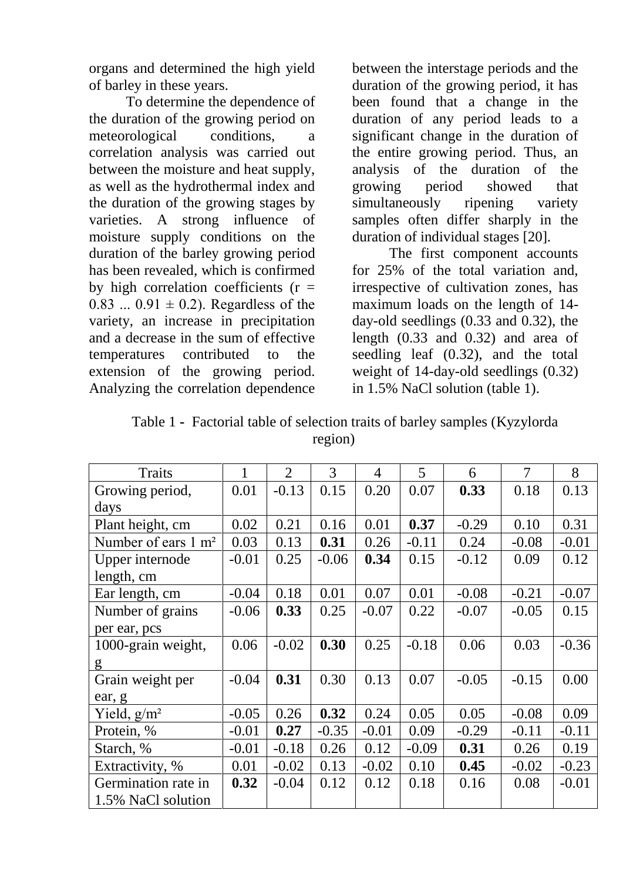organs and determined the high yield of barley in these years.

To determine the dependence of the duration of the growing period on meteorological conditions, a correlation analysis was carried out between the moisture and heat supply, as well as the hydrothermal index and the duration of the growing stages by varieties. A strong influence of moisture supply conditions on the duration of the barley growing period has been revealed, which is confirmed by high correlation coefficients  $(r =$ 0.83 ...  $0.91 \pm 0.2$ ). Regardless of the variety, an increase in precipitation and a decrease in the sum of effective temperatures contributed to the extension of the growing period. Analyzing the correlation dependence

between the interstage periods and the duration of the growing period, it has been found that a change in the duration of any period leads to a significant change in the duration of the entire growing period. Thus, an analysis of the duration of the growing period showed that simultaneously ripening variety samples often differ sharply in the duration of individual stages [20].

The first component accounts for 25% of the total variation and, irrespective of cultivation zones, has maximum loads on the length of 14 day-old seedlings (0.33 and 0.32), the length (0.33 and 0.32) and area of seedling leaf (0.32), and the total weight of 14-day-old seedlings (0.32) in 1.5% NaCl solution (table 1).

| Table 1 - Factorial table of selection traits of barley samples (Kyzylorda |
|----------------------------------------------------------------------------|
| region)                                                                    |

|                                | 1       | $\overline{2}$ | $\overline{3}$ | $\overline{4}$ | 5       | 6       | $\overline{7}$ | 8       |
|--------------------------------|---------|----------------|----------------|----------------|---------|---------|----------------|---------|
| <b>Traits</b>                  |         |                |                |                |         |         |                |         |
| Growing period,                | 0.01    | $-0.13$        | 0.15           | 0.20           | 0.07    | 0.33    | 0.18           | 0.13    |
| days                           |         |                |                |                |         |         |                |         |
| Plant height, cm               | 0.02    | 0.21           | 0.16           | 0.01           | 0.37    | $-0.29$ | 0.10           | 0.31    |
| Number of ears $1 \text{ m}^2$ | 0.03    | 0.13           | 0.31           | 0.26           | $-0.11$ | 0.24    | $-0.08$        | $-0.01$ |
| Upper internode                | $-0.01$ | 0.25           | $-0.06$        | 0.34           | 0.15    | $-0.12$ | 0.09           | 0.12    |
| length, cm                     |         |                |                |                |         |         |                |         |
| Ear length, cm                 | $-0.04$ | 0.18           | 0.01           | 0.07           | 0.01    | $-0.08$ | $-0.21$        | $-0.07$ |
| Number of grains               | $-0.06$ | 0.33           | 0.25           | $-0.07$        | 0.22    | $-0.07$ | $-0.05$        | 0.15    |
| per ear, pcs                   |         |                |                |                |         |         |                |         |
| 1000-grain weight,             | 0.06    | $-0.02$        | 0.30           | 0.25           | $-0.18$ | 0.06    | 0.03           | $-0.36$ |
| g                              |         |                |                |                |         |         |                |         |
| Grain weight per               | $-0.04$ | 0.31           | 0.30           | 0.13           | 0.07    | $-0.05$ | $-0.15$        | 0.00    |
| ear, g                         |         |                |                |                |         |         |                |         |
| Yield, $g/m^2$                 | $-0.05$ | 0.26           | 0.32           | 0.24           | 0.05    | 0.05    | $-0.08$        | 0.09    |
| Protein, %                     | $-0.01$ | 0.27           | $-0.35$        | $-0.01$        | 0.09    | $-0.29$ | $-0.11$        | $-0.11$ |
| Starch, %                      | $-0.01$ | $-0.18$        | 0.26           | 0.12           | $-0.09$ | 0.31    | 0.26           | 0.19    |
| Extractivity, %                | 0.01    | $-0.02$        | 0.13           | $-0.02$        | 0.10    | 0.45    | $-0.02$        | $-0.23$ |
| Germination rate in            | 0.32    | $-0.04$        | 0.12           | 0.12           | 0.18    | 0.16    | 0.08           | $-0.01$ |
| 1.5% NaCl solution             |         |                |                |                |         |         |                |         |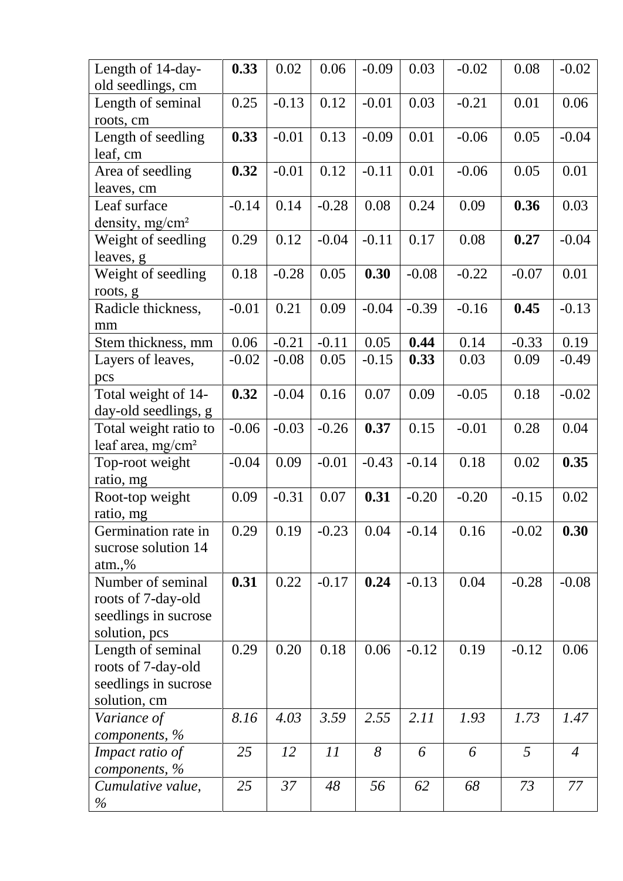| Length of 14-day-<br>old seedlings, cm | 0.33    | 0.02    | 0.06    | $-0.09$ | 0.03    | $-0.02$ | 0.08    | $-0.02$        |
|----------------------------------------|---------|---------|---------|---------|---------|---------|---------|----------------|
| Length of seminal                      | 0.25    | $-0.13$ | 0.12    | $-0.01$ | 0.03    | $-0.21$ | 0.01    | 0.06           |
| roots, cm                              |         |         |         |         |         |         |         |                |
| Length of seedling                     | 0.33    | $-0.01$ | 0.13    | $-0.09$ | 0.01    | $-0.06$ | 0.05    | $-0.04$        |
| leaf, cm                               |         |         |         |         |         |         |         |                |
| Area of seedling                       | 0.32    | $-0.01$ | 0.12    | $-0.11$ | 0.01    | $-0.06$ | 0.05    | 0.01           |
| leaves, cm                             |         |         |         |         |         |         |         |                |
| Leaf surface                           | $-0.14$ | 0.14    | $-0.28$ | 0.08    | 0.24    | 0.09    | 0.36    | 0.03           |
| density, mg/cm <sup>2</sup>            |         |         |         |         |         |         |         |                |
| Weight of seedling                     | 0.29    | 0.12    | $-0.04$ | $-0.11$ | 0.17    | 0.08    | 0.27    | $-0.04$        |
| leaves, g                              |         |         |         |         |         |         |         |                |
| Weight of seedling                     | 0.18    | $-0.28$ | 0.05    | 0.30    | $-0.08$ | $-0.22$ | $-0.07$ | 0.01           |
| roots, g                               |         |         |         |         |         |         |         |                |
| Radicle thickness,                     | $-0.01$ | 0.21    | 0.09    | $-0.04$ | $-0.39$ | $-0.16$ | 0.45    | $-0.13$        |
| mm                                     |         |         |         |         |         |         |         |                |
| Stem thickness, mm                     | 0.06    | $-0.21$ | $-0.11$ | 0.05    | 0.44    | 0.14    | $-0.33$ | 0.19           |
| Layers of leaves,                      | $-0.02$ | $-0.08$ | 0.05    | $-0.15$ | 0.33    | 0.03    | 0.09    | $-0.49$        |
| pcs                                    |         |         |         |         |         |         |         |                |
| Total weight of 14-                    | 0.32    | $-0.04$ | 0.16    | 0.07    | 0.09    | $-0.05$ | 0.18    | $-0.02$        |
| day-old seedlings, g                   |         |         |         |         |         |         |         |                |
| Total weight ratio to                  | $-0.06$ | $-0.03$ | $-0.26$ | 0.37    | 0.15    | $-0.01$ | 0.28    | 0.04           |
| leaf area, mg/cm <sup>2</sup>          |         |         |         |         |         |         |         |                |
| Top-root weight                        | $-0.04$ | 0.09    | $-0.01$ | $-0.43$ | $-0.14$ | 0.18    | 0.02    | 0.35           |
| ratio, mg                              |         |         |         |         |         |         |         |                |
| Root-top weight                        | 0.09    | $-0.31$ | 0.07    | 0.31    | $-0.20$ | $-0.20$ | $-0.15$ | 0.02           |
| ratio, mg                              |         |         |         |         |         |         |         |                |
| Germination rate in                    | 0.29    | 0.19    | $-0.23$ | 0.04    | $-0.14$ | 0.16    | $-0.02$ | 0.30           |
| sucrose solution 14                    |         |         |         |         |         |         |         |                |
| atm.,%                                 |         |         |         |         |         |         |         |                |
| Number of seminal                      | 0.31    | 0.22    | $-0.17$ | 0.24    | $-0.13$ | 0.04    | $-0.28$ | $-0.08$        |
| roots of 7-day-old                     |         |         |         |         |         |         |         |                |
| seedlings in sucrose                   |         |         |         |         |         |         |         |                |
| solution, pcs                          |         |         |         |         |         |         |         |                |
| Length of seminal                      | 0.29    | 0.20    | 0.18    | 0.06    | $-0.12$ | 0.19    | $-0.12$ | 0.06           |
| roots of 7-day-old                     |         |         |         |         |         |         |         |                |
| seedlings in sucrose                   |         |         |         |         |         |         |         |                |
| solution, cm                           |         |         |         |         |         |         |         |                |
| Variance of                            | 8.16    | 4.03    | 3.59    | 2.55    | 2.11    | 1.93    | 1.73    | 1.47           |
| components, $\%$                       |         |         |         |         |         |         |         |                |
| Impact ratio of                        | 25      | 12      | 11      | 8       | 6       | 6       | 5       | $\overline{A}$ |
| components, %                          |         |         |         |         |         |         |         |                |
| Cumulative value,                      | 25      | 37      | 48      | 56      | 62      | 68      | 73      | 77             |
| $\%$                                   |         |         |         |         |         |         |         |                |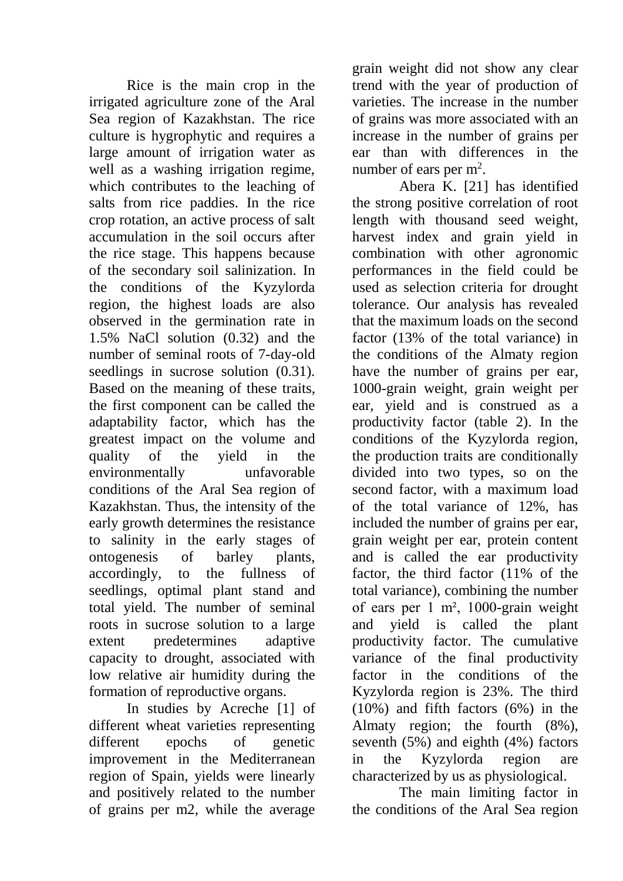Rice is the main crop in the irrigated agriculture zone of the Aral Sea region of Kazakhstan. The rice culture is hygrophytic and requires a large amount of irrigation water as well as a washing irrigation regime, which contributes to the leaching of salts from rice paddies. In the rice crop rotation, an active process of salt accumulation in the soil occurs after the rice stage. This happens because of the secondary soil salinization. In the conditions of the Kyzylorda region, the highest loads are also observed in the germination rate in 1.5% NaCl solution (0.32) and the number of seminal roots of 7-day-old seedlings in sucrose solution  $(0.31)$ . Based on the meaning of these traits, the first component can be called the adaptability factor, which has the greatest impact on the volume and quality of the yield in the environmentally unfavorable conditions of the Aral Sea region of Kazakhstan. Thus, the intensity of the early growth determines the resistance to salinity in the early stages of ontogenesis of barley plants, accordingly, to the fullness of seedlings, optimal plant stand and total yield. The number of seminal roots in sucrose solution to a large extent predetermines adaptive capacity to drought, associated with low relative air humidity during the formation of reproductive organs.

In studies by Acreche [1] of different wheat varieties representing different epochs of genetic improvement in the Mediterranean region of Spain, yields were linearly and positively related to the number of grains per m2, while the average

grain weight did not show any clear trend with the year of production of varieties. The increase in the number of grains was more associated with an increase in the number of grains per ear than with differences in the number of ears per  $m^2$ .

Abera K. [21] has identified the strong positive correlation of root length with thousand seed weight, harvest index and grain yield in combination with other agronomic performances in the field could be used as selection criteria for drought tolerance. Our analysis has revealed that the maximum loads on the second factor (13% of the total variance) in the conditions of the Almaty region have the number of grains per ear, 1000-grain weight, grain weight per ear, yield and is construed as a productivity factor (table 2). In the conditions of the Kyzylorda region, the production traits are conditionally divided into two types, so on the second factor, with a maximum load of the total variance of 12%, has included the number of grains per ear, grain weight per ear, protein content and is called the ear productivity factor, the third factor (11% of the total variance), combining the number of ears per 1 m², 1000-grain weight and yield is called the plant productivity factor. The cumulative variance of the final productivity factor in the conditions of the Kyzylorda region is 23%. The third (10%) and fifth factors (6%) in the Almaty region; the fourth (8%), seventh (5%) and eighth (4%) factors in the Kyzylorda region are characterized by us as physiological.

The main limiting factor in the conditions of the Aral Sea region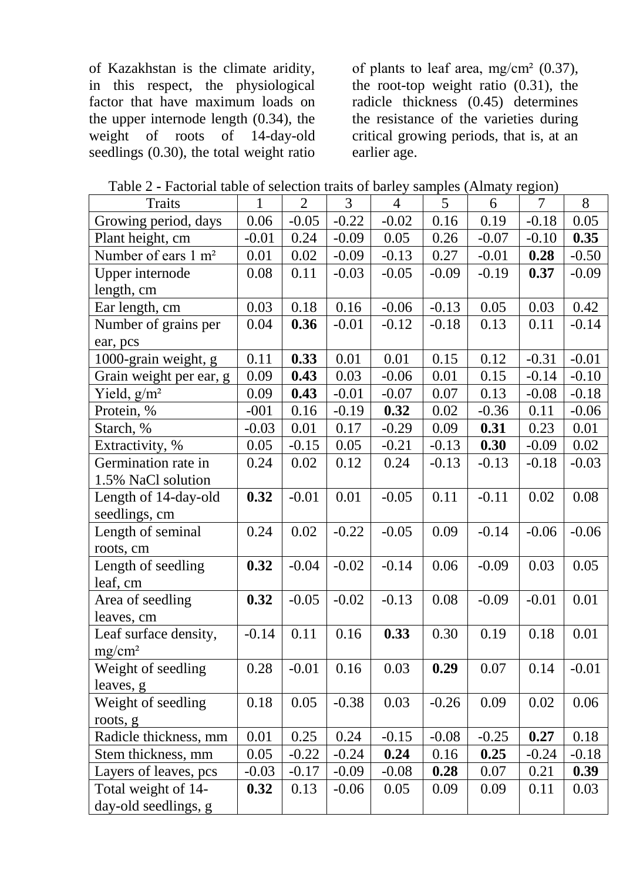of Kazakhstan is the climate aridity, in this respect, the physiological factor that have maximum loads on the upper internode length  $(0.34)$ , the weight of roots of 14-day-old roots of  $14$ -day-old seedlings  $(0.30)$ , the total weight ratio

of plants to leaf area,  $mg/cm^2$  (0.37), the root-top weight ratio (0.31), the radicle thickness  $(0.45)$  determines the resistance of the varieties during critical growing periods, that is, at an earlier age.

| Table 2 - Factorial table of selection traits of barley samples (Almaty region) |
|---------------------------------------------------------------------------------|
|---------------------------------------------------------------------------------|

| <b>Traits</b>                   | 1       | $\overline{2}$ | 3       | $\overline{4}$ | 5       | 6       | 7       | 8       |
|---------------------------------|---------|----------------|---------|----------------|---------|---------|---------|---------|
| Growing period, days            | 0.06    | $-0.05$        | $-0.22$ | $-0.02$        | 0.16    | 0.19    | $-0.18$ | 0.05    |
| Plant height, cm                | $-0.01$ | 0.24           | $-0.09$ | 0.05           | 0.26    | $-0.07$ | $-0.10$ | 0.35    |
| Number of ears 1 m <sup>2</sup> | 0.01    | 0.02           | $-0.09$ | $-0.13$        | 0.27    | $-0.01$ | 0.28    | $-0.50$ |
| Upper internode                 | 0.08    | 0.11           | $-0.03$ | $-0.05$        | $-0.09$ | $-0.19$ | 0.37    | $-0.09$ |
| length, cm                      |         |                |         |                |         |         |         |         |
| Ear length, cm                  | 0.03    | 0.18           | 0.16    | $-0.06$        | $-0.13$ | 0.05    | 0.03    | 0.42    |
| Number of grains per            | 0.04    | 0.36           | $-0.01$ | $-0.12$        | $-0.18$ | 0.13    | 0.11    | $-0.14$ |
| ear, pcs                        |         |                |         |                |         |         |         |         |
| 1000-grain weight, g            | 0.11    | 0.33           | 0.01    | 0.01           | 0.15    | 0.12    | $-0.31$ | $-0.01$ |
| Grain weight per ear, g         | 0.09    | 0.43           | 0.03    | $-0.06$        | 0.01    | 0.15    | $-0.14$ | $-0.10$ |
| Yield, $g/m^2$                  | 0.09    | 0.43           | $-0.01$ | $-0.07$        | 0.07    | 0.13    | $-0.08$ | $-0.18$ |
| Protein, %                      | $-001$  | 0.16           | $-0.19$ | 0.32           | 0.02    | $-0.36$ | 0.11    | $-0.06$ |
| Starch, %                       | $-0.03$ | 0.01           | 0.17    | $-0.29$        | 0.09    | 0.31    | 0.23    | 0.01    |
| Extractivity, %                 | 0.05    | $-0.15$        | 0.05    | $-0.21$        | $-0.13$ | 0.30    | $-0.09$ | 0.02    |
| Germination rate in             | 0.24    | 0.02           | 0.12    | 0.24           | $-0.13$ | $-0.13$ | $-0.18$ | $-0.03$ |
| 1.5% NaCl solution              |         |                |         |                |         |         |         |         |
| Length of 14-day-old            | 0.32    | $-0.01$        | 0.01    | $-0.05$        | 0.11    | $-0.11$ | 0.02    | 0.08    |
| seedlings, cm                   |         |                |         |                |         |         |         |         |
| Length of seminal               | 0.24    | 0.02           | $-0.22$ | $-0.05$        | 0.09    | $-0.14$ | $-0.06$ | $-0.06$ |
| roots, cm                       |         |                |         |                |         |         |         |         |
| Length of seedling              | 0.32    | $-0.04$        | $-0.02$ | $-0.14$        | 0.06    | $-0.09$ | 0.03    | 0.05    |
| leaf, cm                        |         |                |         |                |         |         |         |         |
| Area of seedling                | 0.32    | $-0.05$        | $-0.02$ | $-0.13$        | 0.08    | $-0.09$ | $-0.01$ | 0.01    |
| leaves, cm                      |         |                |         |                |         |         |         |         |
| Leaf surface density,           | $-0.14$ | 0.11           | 0.16    | 0.33           | 0.30    | 0.19    | 0.18    | 0.01    |
| $mg/cm^2$                       |         |                |         |                |         |         |         |         |
| Weight of seedling              | 0.28    | $-0.01$        | 0.16    | 0.03           | 0.29    | 0.07    | 0.14    | $-0.01$ |
| leaves, g                       |         |                |         |                |         |         |         |         |
| Weight of seedling              | 0.18    | 0.05           | $-0.38$ | 0.03           | $-0.26$ | 0.09    | 0.02    | 0.06    |
| roots, g                        |         |                |         |                |         |         |         |         |
| Radicle thickness, mm           | 0.01    | 0.25           | 0.24    | $-0.15$        | $-0.08$ | $-0.25$ | 0.27    | 0.18    |
| Stem thickness, mm              | 0.05    | $-0.22$        | $-0.24$ | 0.24           | 0.16    | 0.25    | $-0.24$ | $-0.18$ |
| Layers of leaves, pcs           | $-0.03$ | $-0.17$        | $-0.09$ | $-0.08$        | 0.28    | 0.07    | 0.21    | 0.39    |
| Total weight of 14-             | 0.32    | 0.13           | $-0.06$ | 0.05           | 0.09    | 0.09    | 0.11    | 0.03    |
| day-old seedlings, g            |         |                |         |                |         |         |         |         |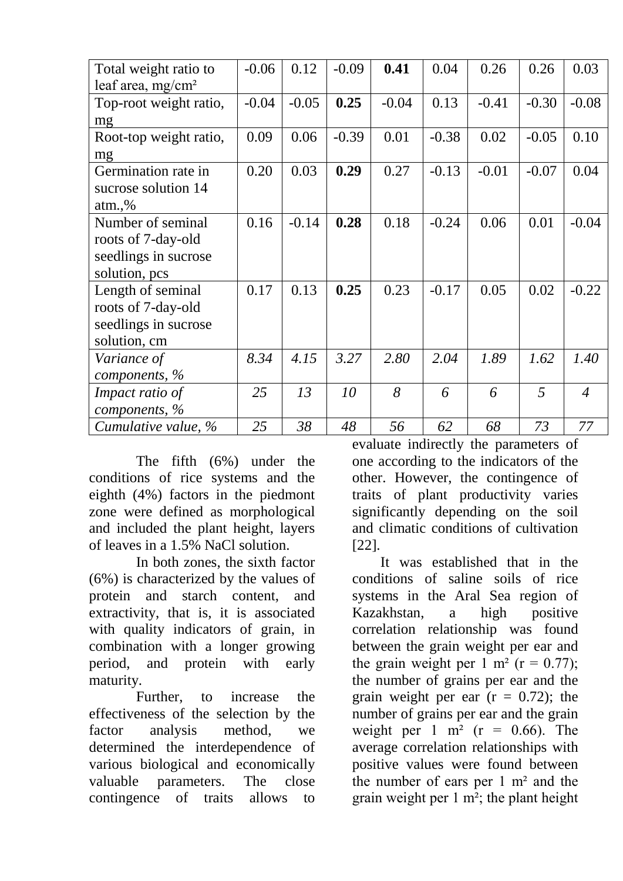| Total weight ratio to  | $-0.06$ | 0.12    | $-0.09$ | 0.41    | 0.04    | 0.26    | 0.26    | 0.03           |
|------------------------|---------|---------|---------|---------|---------|---------|---------|----------------|
| leaf area, $mg/cm^2$   |         |         |         |         |         |         |         |                |
| Top-root weight ratio, | $-0.04$ | $-0.05$ | 0.25    | $-0.04$ | 0.13    | $-0.41$ | $-0.30$ | $-0.08$        |
| mg                     |         |         |         |         |         |         |         |                |
| Root-top weight ratio, | 0.09    | 0.06    | $-0.39$ | 0.01    | $-0.38$ | 0.02    | $-0.05$ | 0.10           |
| mg                     |         |         |         |         |         |         |         |                |
| Germination rate in    | 0.20    | 0.03    | 0.29    | 0.27    | $-0.13$ | $-0.01$ | $-0.07$ | 0.04           |
| sucrose solution 14    |         |         |         |         |         |         |         |                |
| $atm.$ %               |         |         |         |         |         |         |         |                |
| Number of seminal      | 0.16    | $-0.14$ | 0.28    | 0.18    | $-0.24$ | 0.06    | 0.01    | $-0.04$        |
| roots of 7-day-old     |         |         |         |         |         |         |         |                |
| seedlings in sucrose   |         |         |         |         |         |         |         |                |
| solution, pcs          |         |         |         |         |         |         |         |                |
| Length of seminal      | 0.17    | 0.13    | 0.25    | 0.23    | $-0.17$ | 0.05    | 0.02    | $-0.22$        |
| roots of 7-day-old     |         |         |         |         |         |         |         |                |
| seedlings in sucrose   |         |         |         |         |         |         |         |                |
| solution, cm           |         |         |         |         |         |         |         |                |
| Variance of            | 8.34    | 4.15    | 3.27    | 2.80    | 2.04    | 1.89    | 1.62    | 1.40           |
| components, %          |         |         |         |         |         |         |         |                |
| Impact ratio of        | 25      | 13      | 10      | 8       | 6       | 6       | 5       | $\overline{4}$ |
| components, $\%$       |         |         |         |         |         |         |         |                |
| Cumulative value, %    | 25      | 38      | 48      | 56      | 62      | 68      | 73      | 77             |

The fifth (6%) under the conditions of rice systems and the eighth (4%) factors in the piedmont zone were defined as morphological and included the plant height, layers of leaves in a 1.5% NaCl solution.

In both zones, the sixth factor (6%) is characterized by the values of protein and starch content, and extractivity, that is, it is associated with quality indicators of grain, in combination with a longer growing period, and protein with early maturity.

Further, to increase the effectiveness of the selection by the factor analysis method, we determined the interdependence of various biological and economically valuable parameters. The close contingence of traits allows to

evaluate indirectly the parameters of one according to the indicators of the other. However, the contingence of traits of plant productivity varies significantly depending on the soil and climatic conditions of cultivation [22].

It was established that in the conditions of saline soils of rice systems in the Aral Sea region of Kazakhstan, a high positive correlation relationship was found between the grain weight per ear and the grain weight per 1 m<sup>2</sup> ( $r = 0.77$ ); the number of grains per ear and the grain weight per ear  $(r = 0.72)$ ; the number of grains per ear and the grain weight per 1 m<sup>2</sup> ( $r = 0.66$ ). The average correlation relationships with positive values were found between the number of ears per 1 m² and the grain weight per  $1 \text{ m}^2$ ; the plant height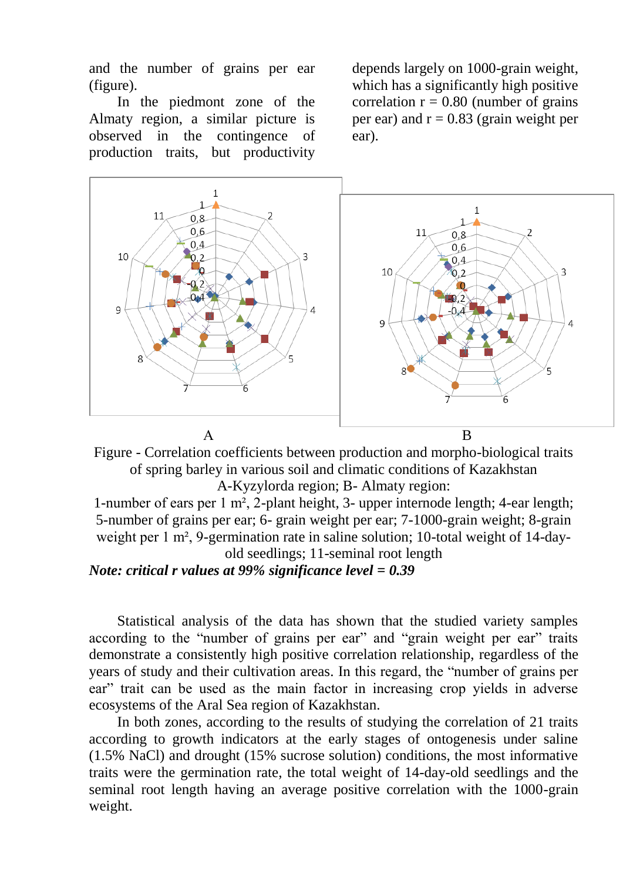and the number of grains per ear (figure).

In the piedmont zone of the Almaty region, a similar picture is observed in the contingence of production traits, but productivity

depends largely on 1000-grain weight, which has a significantly high positive correlation  $r = 0.80$  (number of grains per ear) and  $r = 0.83$  (grain weight per ear).



Figure - Correlation coefficients between production and morpho-biological traits of spring barley in various soil and climatic conditions of Kazakhstan A-Kyzylorda region; B- Almaty region:

1-number of ears per 1 m², 2-plant height, 3- upper internode length; 4-ear length; 5-number of grains per ear; 6- grain weight per ear; 7-1000-grain weight; 8-grain weight per 1 m<sup>2</sup>, 9-germination rate in saline solution; 10-total weight of 14-dayold seedlings; 11-seminal root length

*Note: critical r values at 99% significance level = 0.39*

Statistical analysis of the data has shown that the studied variety samples according to the "number of grains per ear" and "grain weight per ear" traits demonstrate a consistently high positive correlation relationship, regardless of the years of study and their cultivation areas. In this regard, the "number of grains per ear" trait can be used as the main factor in increasing crop yields in adverse ecosystems of the Aral Sea region of Kazakhstan.

In both zones, according to the results of studying the correlation of 21 traits according to growth indicators at the early stages of ontogenesis under saline (1.5% NaCl) and drought (15% sucrose solution) conditions, the most informative traits were the germination rate, the total weight of 14-day-old seedlings and the seminal root length having an average positive correlation with the 1000-grain weight.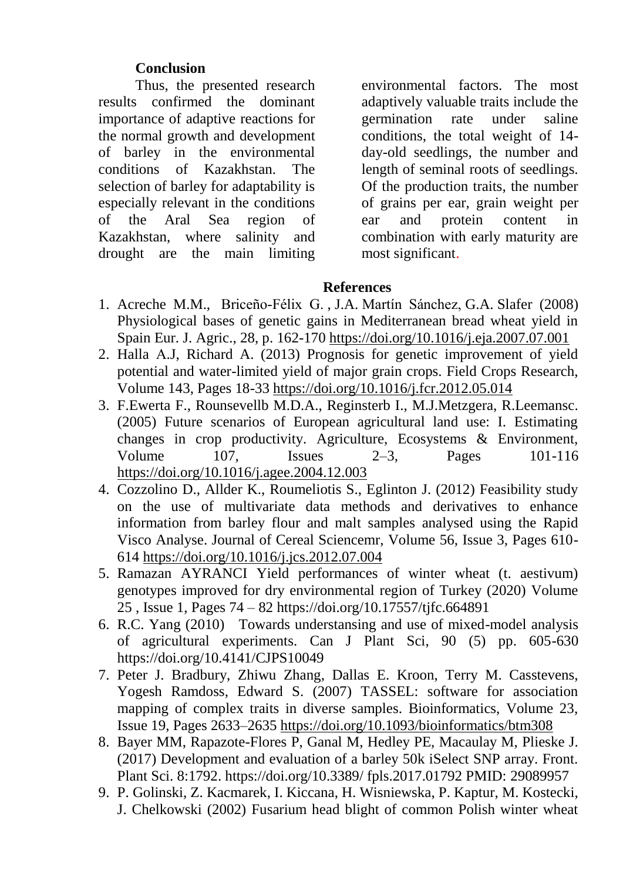# **Conclusion**

Thus, the presented research results confirmed the dominant importance of adaptive reactions for the normal growth and development of barley in the environmental conditions of Kazakhstan. The selection of barley for adaptability is especially relevant in the conditions of the Aral Sea region of Kazakhstan, where salinity and drought are the main limiting environmental factors. The most adaptively valuable traits include the germination rate under saline conditions, the total weight of 14 day-old seedlings, the number and length of seminal roots of seedlings. Of the production traits, the number of grains per ear, grain weight per ear and protein content in combination with early maturity are most significant.

# **References**

- 1. Acreche M.M., Briceño-Félix G. , J.A. Martín Sánchez, G.A. Slafer (2008) Physiological bases of genetic gains in Mediterranean bread wheat yield in Spain Eur. J. Agric., 28, p. 162-170 https://doi.org/10.1016/j.eja.2007.07.001
- 2. Halla А.J, Richard A. (2013) Prognosis for genetic improvement of yield potential and water-limited yield of major grain crops. Field Crops Research, Volume 143, Pages 18-33 https://doi.org/10.1016/j.fcr.2012.05.014
- 3. F.Ewerta F., Rounsevellb M.D.A., Reginsterb I., M.J.Metzgera, R.Leemansc. (2005) Future scenarios of European agricultural land use: I. Estimating changes in crop productivity. Agriculture, Ecosystems & Environment, Volume 107, Issues 2–3, Pages 101-116 https://doi.org/10.1016/j.agee.2004.12.003
- 4. Cozzolino D., Allder K., Roumeliotis S., Eglinton J. (2012) Feasibility study on the use of multivariate data methods and derivatives to enhance information from barley flour and malt samples analysed using the Rapid Visco Analyse. Journal of Cereal Sciencemr, Volume 56, Issue 3, Pages 610- 614 https://doi.org/10.1016/j.jcs.2012.07.004
- 5. Ramazan AYRANCI Yield performances of winter wheat (t. aestivum) genotypes improved for dry environmental region of Turkey (2020) Volume 25 , Issue 1, Pages 74 – 82 https://doi.org/10.17557/tjfc.664891
- 6. R.C. Yang (2010) Towards understansing and use of mixed-model analysis of agricultural experiments. Can J Plant Sci, 90 (5) pp. 605-630 https://doi.org/10.4141/CJPS10049
- 7. Peter J. Bradbury, Zhiwu Zhang, Dallas E. Kroon, Terry M. Casstevens, Yogesh Ramdoss, Edward S. (2007) TASSEL: software for association mapping of complex traits in diverse samples. Bioinformatics, Volume 23, Issue 19, Pages 2633–2635 https://doi.org/10.1093/bioinformatics/btm308
- 8. Bayer MM, Rapazote-Flores P, Ganal M, Hedley PE, Macaulay M, Plieske J. (2017) Development and evaluation of a barley 50k iSelect SNP array. Front. Plant Sci. 8:1792. https://doi.org/10.3389/ fpls.2017.01792 PMID: 29089957
- 9. P. Golinski, Z. Kacmarek, I. Kiccana, H. Wisniewska, P. Kaptur, M. Kostecki, J. Chelkowski (2002) Fusarium head blight of common Polish winter wheat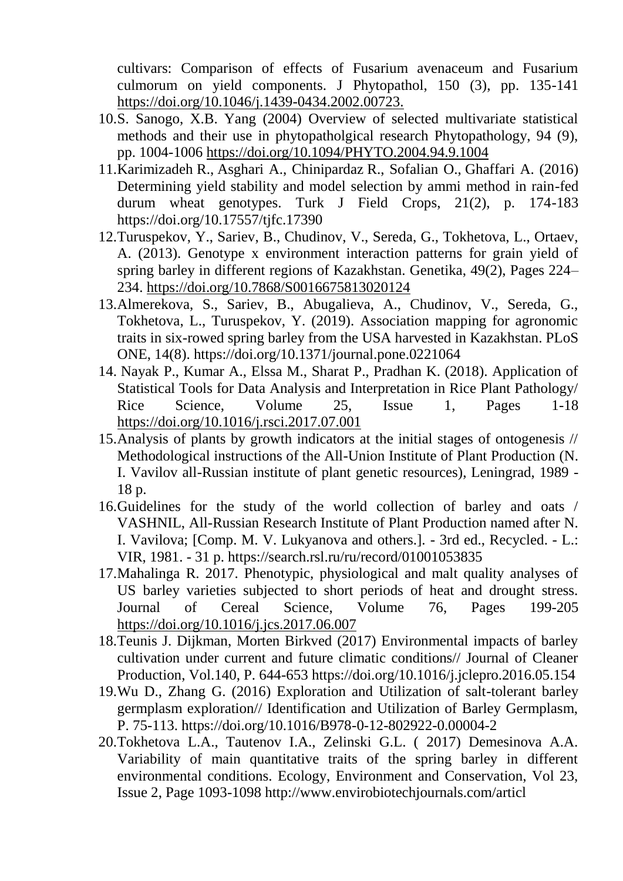cultivars: Comparison of effects of Fusarium avenaceum and Fusarium culmorum on yield components. J Phytopathol, 150 (3), pp. 135-141 https://doi.org/10.1046/j.1439-0434.2002.00723.

- 10.S. Sanogo, X.B. Yang (2004) Overview of selected multivariate statistical methods and their use in phytopatholgical research Phytopathology, 94 (9), pp. 1004-1006 https://doi.org/10.1094/PHYTO.2004.94.9.1004
- 11.Karimizadeh R., Asghari A., Chinipardaz R., Sofalian O., Ghaffari A. (2016) Determining yield stability and model selection by ammi method in rain-fed durum wheat genotypes. Turk J Field Crops, 21(2), p. 174-183 https://doi.org/10.17557/tjfc.17390
- 12.Turuspekov, Y., Sariev, B., Chudinov, V., Sereda, G., Tokhetova, L., Ortaev, A. (2013). Genotype x environment interaction patterns for grain yield of spring barley in different regions of Kazakhstan. Genetika, 49(2), Pages 224– 234. https://doi.org/10.7868/S0016675813020124
- 13.Almerekova, S., Sariev, B., Abugalieva, A., Chudinov, V., Sereda, G., Tokhetova, L., Turuspekov, Y. (2019). Association mapping for agronomic traits in six-rowed spring barley from the USA harvested in Kazakhstan. PLoS ONE, 14(8). https://doi.org/10.1371/journal.pone.0221064
- 14. Nayak P., Kumar A., Elssa M., Sharat P., Pradhan K. (2018). Application of Statistical Tools for Data Analysis and Interpretation in Rice Plant Pathology/ Rice Science, Volume 25, Issue 1, Pages 1-18 https://doi.org/10.1016/j.rsci.2017.07.001
- 15.Analysis of plants by growth indicators at the initial stages of ontogenesis // Methodological instructions of the All-Union Institute of Plant Production (N. I. Vavilov all-Russian institute of plant genetic resources), Leningrad, 1989 - 18 p.
- 16.Guidelines for the study of the world collection of barley and oats / VASHNIL, All-Russian Research Institute of Plant Production named after N. I. Vavilova; [Comp. M. V. Lukyanova and others.]. - 3rd ed., Recycled. - L.: VIR, 1981. - 31 p. https://search.rsl.ru/ru/record/01001053835
- 17.Mahalinga R. 2017. Phenotypic, physiological and malt quality analyses of US barley varieties subjected to short periods of heat and drought stress. Journal of Cereal Science, Volume 76, Pages 199-205 https://doi.org/10.1016/j.jcs.2017.06.007
- 18.Teunis J. Dijkman, Morten Birkved (2017) Environmental impacts of barley cultivation under current and future climatic conditions// Journal of Cleaner Production, Vol.140, P. 644-653 https://doi.org/10.1016/j.jclepro.2016.05.154
- 19.Wu D., Zhang G. (2016) Exploration and Utilization of salt-tolerant barley germplasm exploration// Identification and Utilization of Barley Germplasm, P. 75-113. https://doi.org/10.1016/B978-0-12-802922-0.00004-2
- 20.Tokhetova L.A., Tautenov I.A., Zelinski G.L. ( 2017) Demesinova A.A. Variability of main quantitative traits of the spring barley in different environmental conditions. Ecology, Environment and Conservation, Vol 23, Issue 2, Page 1093-1098 http://www.envirobiotechjournals.com/articl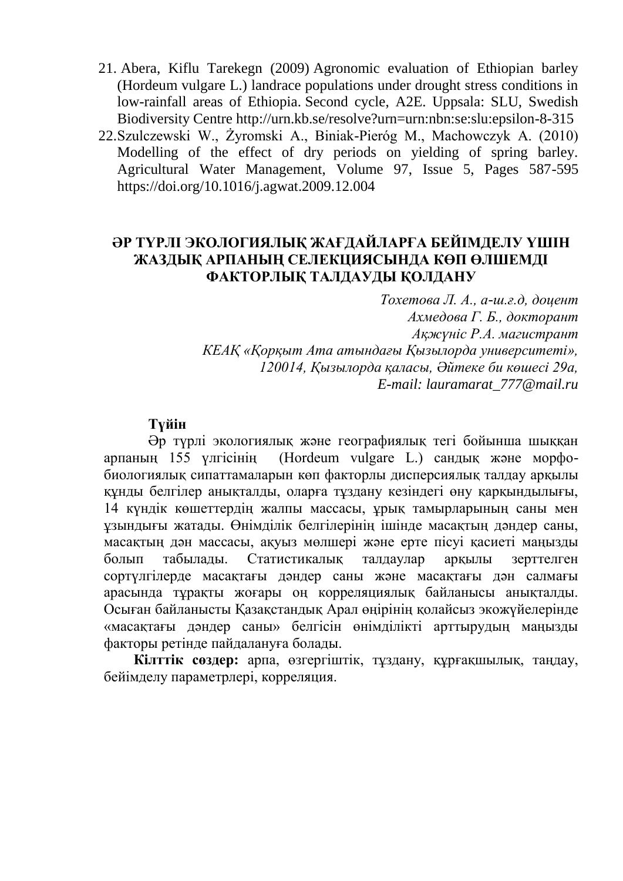- 21. Abera, Kiflu Tarekegn (2009) Agronomic evaluation of Ethiopian barley (Hordeum vulgare L.) landrace populations under drought stress conditions in low-rainfall areas of Ethiopia. Second cycle, A2E. Uppsala: SLU, Swedish Biodiversity Centre http://urn.kb.se/resolve?urn=urn:nbn:se:slu:epsilon-8-315
- 22.Szulczewski W., Żyromski A., Biniak-Pieróg M., Machowczyk A. (2010) Modelling of the effect of dry periods on yielding of spring barley. Agricultural Water Management, Volume 97, Issue 5, Pages 587-595 https://doi.org/10.1016/j.agwat.2009.12.004

# **ӘР ТҮРЛІ ЭКОЛОГИЯЛЫҚ ЖАҒДАЙЛАРҒА БЕЙІМДЕЛУ ҮШІН ЖАЗДЫҚ АРПАНЫҢ СЕЛЕКЦИЯСЫНДА КӨП ӨЛШЕМДІ ФАКТОРЛЫҚ ТАЛДАУДЫ ҚОЛДАНУ**

*Тохетова Л. А., а-ш.ғ.д, доцент Ахмедова Г. Б., докторант Ақжүніс Р.А. магистрант КЕАҚ «Қорқыт Ата атындағы Қызылорда университеті», 120014, Қызылорда қаласы, Әйтеке би көшесі 29a, E-mail: lauramarat\_777@mail.ru*

# **Түйін**

Әр түрлі экологиялық және географиялық тегі бойынша шыққан арпаның 155 үлгісінің (Hordeum vulgare L.) сандық және морфобиологиялық сипаттамаларын көп факторлы дисперсиялық талдау арқылы құнды белгілер анықталды, оларға тұздану кезіндегі өну қарқындылығы, 14 күндік көшеттердің жалпы массасы, ұрық тамырларының саны мен ұзындығы жатады. Өнімділік белгілерінің ішінде масақтың дәндер саны, масақтың дән массасы, ақуыз мөлшері және ерте пісуі қасиеті маңызды болып табылады. Статистикалық талдаулар арқылы зерттелген сортүлгілерде масақтағы дәндер саны және масақтағы дән салмағы арасында тұрақты жоғары оң корреляциялық байланысы анықталды. Осыған байланысты Қазақстандық Арал өңірінің қолайсыз экожүйелерінде «масақтағы дәндер саны» белгісін өнімділікті арттырудың маңызды факторы ретінде пайдалануға болады.

**Кілттік сөздер:** арпа, өзгергіштік, тұздану, құрғақшылық, таңдау, бейімделу параметрлері, корреляция.